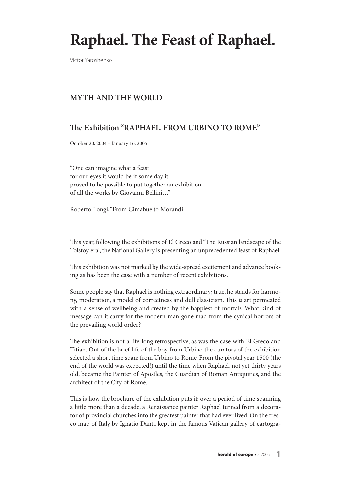# **Raphael. The Feast of Raphael.**

Victor Yaroshenko

## **MYTH AND THE WORLD**

# **.e Exhibition "RAPHAEL. FROM URBINO TO ROME"**

October 20, 2004 – January 16, 2005

"One can imagine what a feast for our eyes it would be if some day it proved to be possible to put together an exhibition of all the works by Giovanni Bellini…"

Roberto Longi,"From Cimabue to Morandi"

This year, following the exhibitions of El Greco and "The Russian landscape of the Tolstoy era", the National Gallery is presenting an unprecedented feast of Raphael.

This exhibition was not marked by the wide-spread excitement and advance booking as has been the case with a number of recent exhibitions.

Some people say that Raphael is nothing extraordinary; true, he stands for harmony, moderation, a model of correctness and dull classicism. This is art permeated with a sense of wellbeing and created by the happiest of mortals. What kind of message can it carry for the modern man gone mad from the cynical horrors of the prevailing world order?

The exhibition is not a life-long retrospective, as was the case with El Greco and Titian. Out of the brief life of the boy from Urbino the curators of the exhibition selected a short time span: from Urbino to Rome. From the pivotal year 1500 (the end of the world was expected!) until the time when Raphael, not yet thirty years old, became the Painter of Apostles, the Guardian of Roman Antiquities, and the architect of the City of Rome.

This is how the brochure of the exhibition puts it: over a period of time spanning a little more than a decade, a Renaissance painter Raphael turned from a decorator of provincial churches into the greatest painter that had ever lived. On the fresco map of Italy by Ignatio Danti, kept in the famous Vatican gallery of cartogra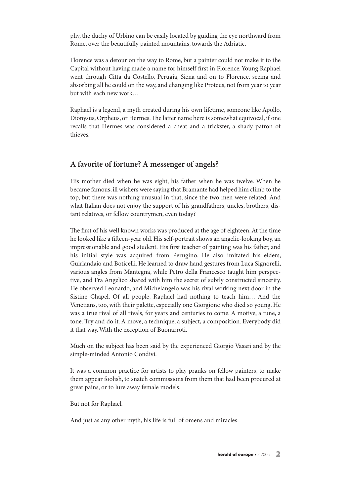phy, the duchy of Urbino can be easily located by guiding the eye northward from Rome, over the beautifully painted mountains, towards the Adriatic.

Florence was a detour on the way to Rome, but a painter could not make it to the Capital without having made a name for himself first in Florence.Young Raphael went through Citta da Costello, Perugia, Siena and on to Florence, seeing and absorbing all he could on the way, and changing like Proteus, not from year to year but with each new work…

Raphael is a legend, a myth created during his own lifetime, someone like Apollo, Dionysus, Orpheus, or Hermes. The latter name here is somewhat equivocal, if one recalls that Hermes was considered a cheat and a trickster, a shady patron of thieves.

#### **A favorite of fortune? A messenger of angels?**

His mother died when he was eight, his father when he was twelve. When he became famous, ill wishers were saying that Bramante had helped him climb to the top, but there was nothing unusual in that, since the two men were related. And what Italian does not enjoy the support of his grandfathers, uncles, brothers, distant relatives, or fellow countrymen, even today?

The first of his well known works was produced at the age of eighteen. At the time he looked like a fifteen-year old. His self-portrait shows an angelic-looking boy, an impressionable and good student. His first teacher of painting was his father, and his initial style was acquired from Perugino. He also imitated his elders, Guirlandaio and Boticelli. He learned to draw hand gestures from Luca Signorelli, various angles from Mantegna, while Petro della Francesco taught him perspective, and Fra Angelico shared with him the secret of subtly constructed sincerity. He observed Leonardo, and Michelangelo was his rival working next door in the Sistine Chapel. Of all people, Raphael had nothing to teach him… And the Venetians, too, with their palette, especially one Giorgione who died so young. He was a true rival of all rivals, for years and centuries to come. A motive, a tune, a tone. Try and do it.A move, a technique, a subject, a composition. Everybody did it that way.With the exception of Buonarroti.

Much on the subject has been said by the experienced Giorgio Vasari and by the simple-minded Antonio Condivi.

It was a common practice for artists to play pranks on fellow painters, to make them appear foolish, to snatch commissions from them that had been procured at great pains, or to lure away female models.

But not for Raphael.

And just as any other myth, his life is full of omens and miracles.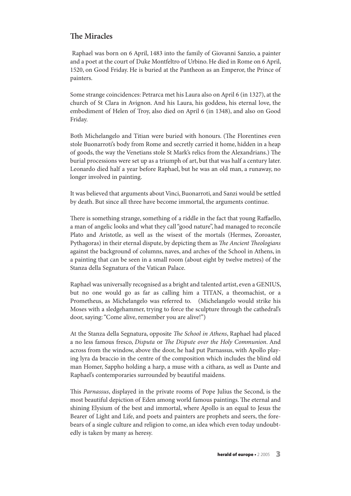### **The Miracles**

Raphael was born on 6 April, 1483 into the family of Giovanni Sanzio, a painter and a poet at the court of Duke Montfeltro of Urbino. He died in Rome on 6 April, 1520, on Good Friday. He is buried at the Pantheon as an Emperor, the Prince of painters.

Some strange coincidences: Petrarca met his Laura also on April 6 (in 1327), at the church of St Clara in Avignon. And his Laura, his goddess, his eternal love, the embodiment of Helen of Troy, also died on April 6 (in 1348), and also on Good Friday.

Both Michelangelo and Titian were buried with honours. (The Florentines even stole Buonarroti's body from Rome and secretly carried it home, hidden in a heap of goods, the way the Venetians stole St Mark's relics from the Alexandrians.) The burial processions were set up as a triumph of art, but that was half a century later. Leonardo died half a year before Raphael, but he was an old man, a runaway, no longer involved in painting.

It was believed that arguments about Vinci, Buonarroti, and Sanzi would be settled by death. But since all three have become immortal, the arguments continue.

There is something strange, something of a riddle in the fact that young Raffaello, a man of angelic looks and what they call"good nature", had managed to reconcile Plato and Aristotle, as well as the wisest of the mortals (Hermes, Zoroaster, Pythagoras) in their eternal dispute, by depicting them as The Ancient Theologians against the background of columns, naves, and arches of the School in Athens, in a painting that can be seen in a small room (about eight by twelve metres) of the Stanza della Segnatura of the Vatican Palace.

Raphael was universally recognised as a bright and talented artist, even a GENIUS, but no one would go as far as calling him a TITAN, a theomachist, or a Prometheus, as Michelangelo was referred to. (Michelangelo would strike his Moses with a sledgehammer, trying to force the sculpture through the cathedral's door, saying:"Come alive, remember you are alive!")

At the Stanza della Segnatura, opposite The School in Athens, Raphael had placed a no less famous fresco, Disputa or The Dispute over the Holy Communion. And across from the window, above the door, he had put Parnassus, with Apollo playing lyra da braccio in the centre of the composition which includes the blind old man Homer, Sappho holding a harp, a muse with a cithara, as well as Dante and Raphael's contemporaries surrounded by beautiful maidens.

This Parnassus, displayed in the private rooms of Pope Julius the Second, is the most beautiful depiction of Eden among world famous paintings. The eternal and shining Elysium of the best and immortal, where Apollo is an equal to Jesus the Bearer of Light and Life, and poets and painters are prophets and seers, the forebears of a single culture and religion to come, an idea which even today undoubtedly is taken by many as heresy.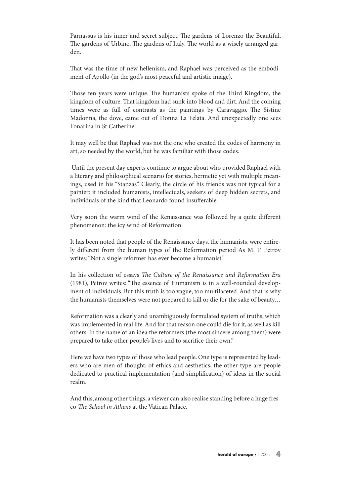Parnassus is his inner and secret subject. The gardens of Lorenzo the Beautiful. The gardens of Urbino. The gardens of Italy. The world as a wisely arranged garden.

That was the time of new hellenism, and Raphael was perceived as the embodiment of Apollo (in the god's most peaceful and artistic image).

Those ten years were unique. The humanists spoke of the Third Kingdom, the kingdom of culture. That kingdom had sunk into blood and dirt. And the coming times were as full of contrasts as the paintings by Caravaggio. The Sistine Madonna, the dove, came out of Donna La Felata. And unexpectedly one sees Fonarina in St Catherine.

It may well be that Raphael was not the one who created the codes of harmony in art, so needed by the world, but he was familiar with those codes.

Until the present day experts continue to argue about who provided Raphael with a literary and philosophical scenario for stories, hermetic yet with multiple meanings, used in his "Stanzas". Clearly, the circle of his friends was not typical for a painter: it included humanists, intellectuals, seekers of deep hidden secrets, and individuals of the kind that Leonardo found insufferable.

Very soon the warm wind of the Renaissance was followed by a quite different phenomenon: the icy wind of Reformation.

It has been noted that people of the Renaissance days, the humanists, were entirely different from the human types of the Reformation period As M. T. Petrov writes:"Not a single reformer has ever become a humanist."

In his collection of essays The Culture of the Renaissance and Reformation Era (1981), Petrov writes: "The essence of Humanism is in a well-rounded development of individuals. But this truth is too vague, too multifaceted.And that is why the humanists themselves were not prepared to kill or die for the sake of beauty…

Reformation was a clearly and unambiguously formulated system of truths, which was implemented in real life.And for that reason one could die for it, as well as kill others. In the name of an idea the reformers (the most sincere among them) were prepared to take other people's lives and to sacrifice their own."

Here we have two types of those who lead people. One type is represented by leaders who are men of thought, of ethics and aesthetics; the other type are people dedicated to practical implementation (and simplification) of ideas in the social realm.

And this, among other things, a viewer can also realise standing before a huge fresco The School in Athens at the Vatican Palace.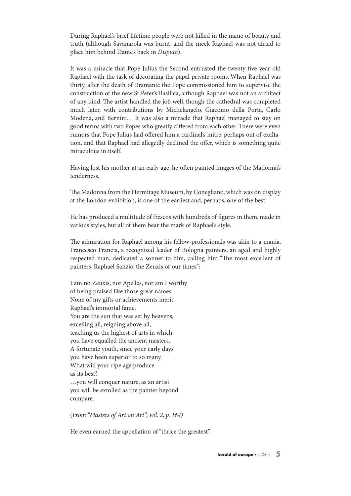During Raphael's brief lifetime people were not killed in the name of beauty and truth (although Savanarola was burnt, and the meek Raphael was not afraid to place him behind Dante's back in Disputa).

It was a miracle that Pope Julius the Second entrusted the twenty-five year old Raphael with the task of decorating the papal private rooms. When Raphael was thirty, after the death of Bramante the Pope commissioned him to supervise the construction of the new St Peter's Basilica, although Raphael was not an architect of any kind. The artist handled the job well, though the cathedral was completed much later, with contributions by Michelangelo, Giacomo della Porta, Carlo Modena, and Bernini… It was also a miracle that Raphael managed to stay on good terms with two Popes who greatly differed from each other. There were even rumors that Pope Julius had offered him a cardinal's mitre, perhaps out of exaltation, and that Raphael had allegedly declined the offer, which is something quite miraculous in itself.

Having lost his mother at an early age, he often painted images of the Madonna's tenderness.

The Madonna from the Hermitage Museum, by Conegliano, which was on display at the London exhibition, is one of the earliest and, perhaps, one of the best.

He has produced a multitude of frescos with hundreds of figures in them, made in various styles, but all of them bear the mark of Raphael's style.

The admiration for Raphael among his fellow-professionals was akin to a mania. Francesco Francia, a recognised leader of Bologna painters, an aged and highly respected man, dedicated a sonnet to him, calling him "The most excellent of painters, Raphael Sanzio, the Zeuxis of our times":

I am no Zeuxis, nor Apelles, nor am I worthy of being praised like those great names. None of my gifts or achievements merit Raphael's immortal fame. You are the sun that was set by heavens, excelling all, reigning above all, teaching us the highest of arts in which you have equalled the ancient masters. A fortunate youth, since your early days you have been superior to so many. What will your ripe age produce as its best? …you will conquer nature, as an artist you will be extolled as the painter beyond compare.

(From "Masters of Art on Art", vol. 2, p. 164)

He even earned the appellation of "thrice the greatest".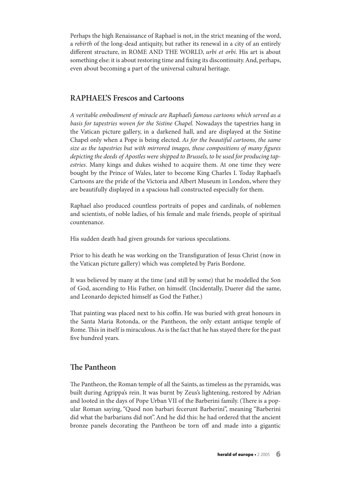Perhaps the high Renaissance of Raphael is not, in the strict meaning of the word, a rebirth of the long-dead antiquity, but rather its renewal in a city of an entirely different structure, in ROME AND THE WORLD, urbi et orbi. His art is about something else: it is about restoring time and fixing its discontinuity.And, perhaps, even about becoming a part of the universal cultural heritage.

#### **RAPHAEL'S Frescos and Cartoons**

A veritable embodiment of miracle are Raphael's famous cartoons which served as a basis for tapestries woven for the Sistine Chapel. Nowadays the tapestries hang in the Vatican picture gallery, in a darkened hall, and are displayed at the Sistine Chapel only when a Pope is being elected. As for the beautiful cartoons, the same size as the tapestries but with mirrored images, these compositions of many figures depicting the deeds of Apostles were shipped to Brussels, to be used for producing tapestries. Many kings and dukes wished to acquire them. At one time they were bought by the Prince of Wales, later to become King Charles I. Today Raphael's Cartoons are the pride of the Victoria and Albert Museum in London, where they are beautifully displayed in a spacious hall constructed especially for them.

Raphael also produced countless portraits of popes and cardinals, of noblemen and scientists, of noble ladies, of his female and male friends, people of spiritual countenance.

His sudden death had given grounds for various speculations.

Prior to his death he was working on the Transfiguration of Jesus Christ (now in the Vatican picture gallery) which was completed by Paris Bordone.

It was believed by many at the time (and still by some) that he modelled the Son of God, ascending to His Father, on himself. (Incidentally, Duerer did the same, and Leonardo depicted himself as God the Father.)

That painting was placed next to his coffin. He was buried with great honours in the Santa Maria Rotonda, or the Pantheon, the only extant antique temple of Rome. This in itself is miraculous. As is the fact that he has stayed there for the past five hundred years.

#### **The Pantheon**

The Pantheon, the Roman temple of all the Saints, as timeless as the pyramids, was built during Agrippa's rein. It was burnt by Zeus's lightening, restored by Adrian and looted in the days of Pope Urban VII of the Barberini family. (There is a popular Roman saying, "Quod non barbari fecerunt Barberini", meaning "Barberini did what the barbarians did not".And he did this: he had ordered that the ancient bronze panels decorating the Pantheon be torn off and made into a gigantic